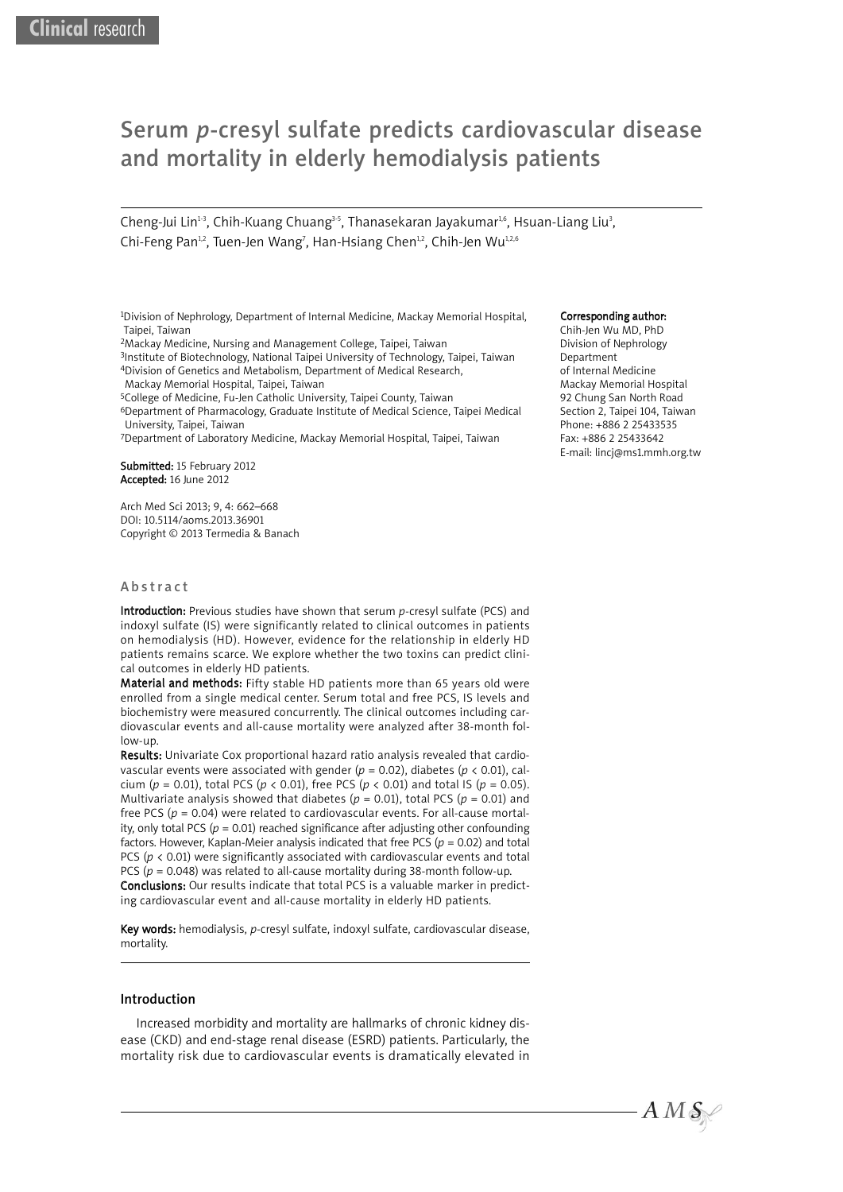# Serum *p*-cresyl sulfate predicts cardiovascular disease and mortality in elderly hemodialysis patients

Cheng-Jui Lin<sup>13</sup>, Chih-Kuang Chuang<sup>3-5</sup>, Thanasekaran Jayakumar<sup>1,6</sup>, Hsuan-Liang Liu<sup>3</sup>, Chi-Feng Pan<sup>1,2</sup>, Tuen-Jen Wang<sup>7</sup>, Han-Hsiang Chen<sup>1,2</sup>, Chih-Jen Wu<sup>1,2,6</sup>

1Division of Nephrology, Department of Internal Medicine, Mackay Memorial Hospital, Taipei, Taiwan

2Mackay Medicine, Nursing and Management College, Taipei, Taiwan

3Institute of Biotechnology, National Taipei University of Technology, Taipei, Taiwan 4Division of Genetics and Metabolism, Department of Medical Research,

Mackay Memorial Hospital, Taipei, Taiwan

5College of Medicine, Fu-Jen Catholic University, Taipei County, Taiwan

6Department of Pharmacology, Graduate Institute of Medical Science, Taipei Medical University, Taipei, Taiwan

7Department of Laboratory Medicine, Mackay Memorial Hospital, Taipei, Taiwan

Submitted: 15 February 2012 Accepted: 16 June 2012

Arch Med Sci 2013; 9, 4: 662–668 DOI: 10.5114/aoms.2013.36901 Copyright © 2013 Termedia & Banach

### **A** b s tract

Introduction: Previous studies have shown that serum *p-*cresyl sulfate (PCS) and indoxyl sulfate (IS) were significantly related to clinical outcomes in patients on hemodialysis (HD). However, evidence for the relationship in elderly HD patients remains scarce. We explore whether the two toxins can predict clinical outcomes in elderly HD patients.

Material and methods: Fifty stable HD patients more than 65 years old were enrolled from a single medical center. Serum total and free PCS, IS levels and biochemistry were measured concurrently. The clinical outcomes including cardiovascular events and all-cause mortality were analyzed after 38-month follow-up.

Results: Univariate Cox proportional hazard ratio analysis revealed that cardiovascular events were associated with gender ( $p = 0.02$ ), diabetes ( $p < 0.01$ ), calcium (*p* = 0.01), total PCS (*p* < 0.01), free PCS (*p* < 0.01) and total IS (*p* = 0.05). Multivariate analysis showed that diabetes ( $p = 0.01$ ), total PCS ( $p = 0.01$ ) and free PCS (*p* = 0.04) were related to cardiovascular events. For all-cause mortality, only total PCS ( $p = 0.01$ ) reached significance after adjusting other confounding factors. However, Kaplan-Meier analysis indicated that free PCS ( $p = 0.02$ ) and total PCS ( $p$  < 0.01) were significantly associated with cardiovascular events and total PCS ( $p = 0.048$ ) was related to all-cause mortality during 38-month follow-up. Conclusions: Our results indicate that total PCS is a valuable marker in predicting cardiovascular event and all-cause mortality in elderly HD patients.

Key words: hemodialysis, *p*-cresyl sulfate, indoxyl sulfate, cardiovascular disease, mortality.

### Introduction

Increased morbidity and mortality are hallmarks of chronic kidney disease (CKD) and end-stage renal disease (ESRD) patients. Particularly, the mortality risk due to cardiovascular events is dramatically elevated in

#### Corresponding author:

Chih-Jen Wu MD, PhD Division of Nephrology Department of Internal Medicine Mackay Memorial Hospital 92 Chung San North Road Section 2, Taipei 104, Taiwan Phone: +886 2 25433535 Fax: +886 2 25433642 E-mail: lincj@ms1.mmh.org.tw

 $A M S$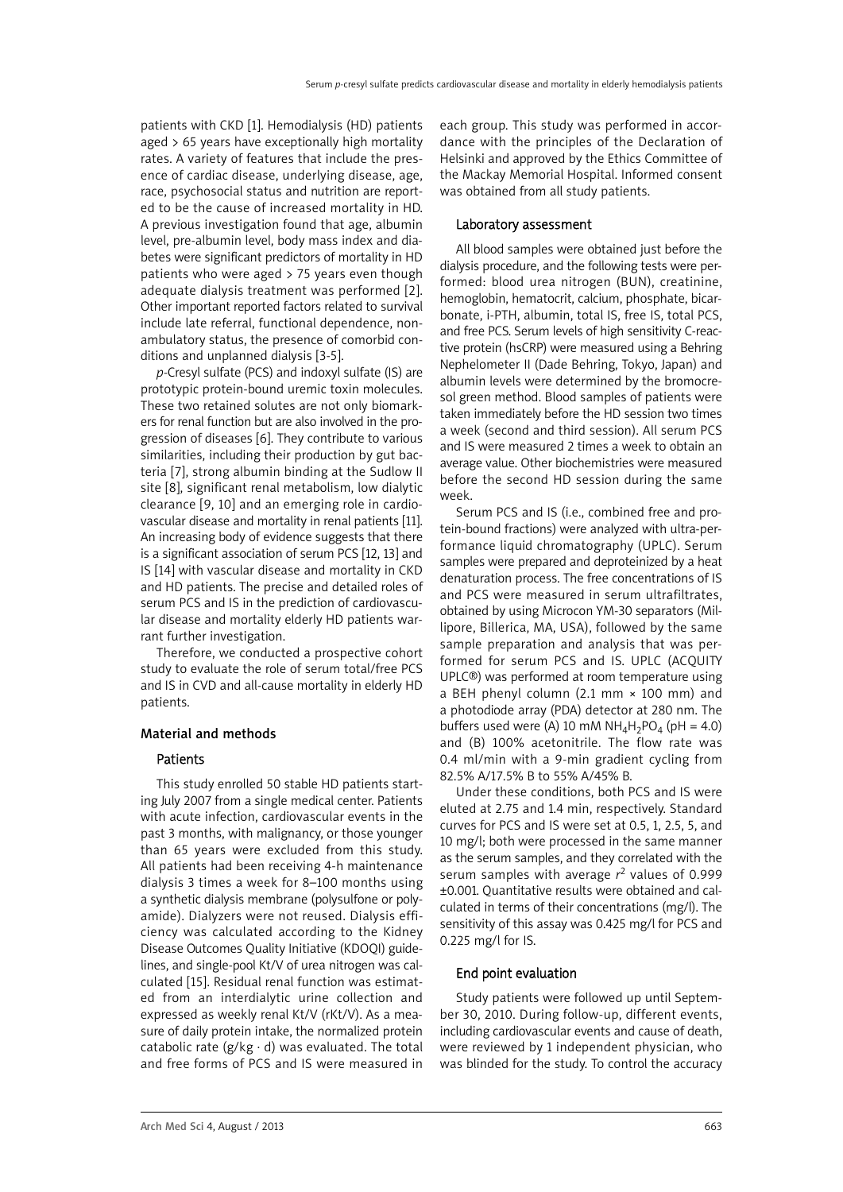patients with CKD [1]. Hemodialysis (HD) patients aged > 65 years have exceptionally high mortality rates. A variety of features that include the presence of cardiac disease, underlying disease, age, race, psychosocial status and nutrition are reported to be the cause of increased mortality in HD. A previous investigation found that age, albumin level, pre-albumin level, body mass index and diabetes were significant predictors of mortality in HD patients who were aged > 75 years even though adequate dialysis treatment was performed [2]. Other important reported factors related to survival include late referral, functional dependence, nonambulatory status, the presence of comorbid conditions and unplanned dialysis [3-5].

*p*-Cresyl sulfate (PCS) and indoxyl sulfate (IS) are prototypic protein-bound uremic toxin molecules. These two retained solutes are not only biomarkers for renal function but are also involved in the progression of diseases [6]. They contribute to various similarities, including their production by gut bacteria [7], strong albumin binding at the Sudlow II site [8], significant renal metabolism, low dialytic clearance [9, 10] and an emerging role in cardiovascular disease and mortality in renal patients [11]. An increasing body of evidence suggests that there is a significant association of serum PCS [12, 13] and IS [14] with vascular disease and mortality in CKD and HD patients. The precise and detailed roles of serum PCS and IS in the prediction of cardiovascular disease and mortality elderly HD patients warrant further investigation.

Therefore, we conducted a prospective cohort study to evaluate the role of serum total/free PCS and IS in CVD and all-cause mortality in elderly HD patients.

## Material and methods

# **Patients**

This study enrolled 50 stable HD patients starting July 2007 from a single medical center. Patients with acute infection, cardiovascular events in the past 3 months, with malignancy, or those younger than 65 years were excluded from this study. All patients had been receiving 4-h maintenance dialysis 3 times a week for 8–100 months using a synthetic dialysis membrane (polysulfone or polyamide). Dialyzers were not reused. Dialysis efficiency was calculated according to the Kidney Disease Outcomes Quality Initiative (KDOQI) guidelines, and single-pool Kt/V of urea nitrogen was calculated [15]. Residual renal function was estimated from an interdialytic urine collection and expressed as weekly renal Kt/V (rKt/V). As a measure of daily protein intake, the normalized protein catabolic rate ( $g/kg \cdot d$ ) was evaluated. The total and free forms of PCS and IS were measured in each group. This study was performed in accordance with the principles of the Declaration of Helsinki and approved by the Ethics Committee of the Mackay Memorial Hospital. Informed consent was obtained from all study patients.

## Laboratory assessment

All blood samples were obtained just before the dialysis procedure, and the following tests were performed: blood urea nitrogen (BUN), creatinine, hemoglobin, hematocrit, calcium, phosphate, bicarbonate, i-PTH, albumin, total IS, free IS, total PCS, and free PCS. Serum levels of high sensitivity C-reactive protein (hsCRP) were measured using a Behring Nephelometer II (Dade Behring, Tokyo, Japan) and albumin levels were determined by the bromocresol green method. Blood samples of patients were taken immediately before the HD session two times a week (second and third session). All serum PCS and IS were measured 2 times a week to obtain an average value. Other biochemistries were measured before the second HD session during the same week.

Serum PCS and IS (i.e., combined free and protein-bound fractions) were analyzed with ultra-performance liquid chromatography (UPLC). Serum samples were prepared and deproteinized by a heat denaturation process. The free concentrations of IS and PCS were measured in serum ultrafiltrates, obtained by using Microcon YM-30 separators (Millipore, Billerica, MA, USA), followed by the same sample preparation and analysis that was performed for serum PCS and IS. UPLC (ACOUITY UPLC®) was performed at room temperature using a BEH phenyl column (2.1 mm × 100 mm) and a photodiode array (PDA) detector at 280 nm. The buffers used were (A) 10 mM  $NH_4H_2PO_4$  (pH = 4.0) and (B) 100% acetonitrile. The flow rate was 0.4 ml/min with a 9-min gradient cycling from 82.5% A/17.5% B to 55% A/45% B.

Under these conditions, both PCS and IS were eluted at 2.75 and 1.4 min, respectively. Standard curves for PCS and IS were set at 0.5, 1, 2.5, 5, and 10 mg/l; both were processed in the same manner as the serum samples, and they correlated with the serum samples with average *r*<sup>2</sup> values of 0.999 ±0.001. Quantitative results were obtained and calculated in terms of their concentrations (mg/l). The sensitivity of this assay was 0.425 mg/l for PCS and 0.225 mg/l for IS.

# End point evaluation

Study patients were followed up until September 30, 2010. During follow-up, different events, including cardiovascular events and cause of death, were reviewed by 1 independent physician, who was blinded for the study. To control the accuracy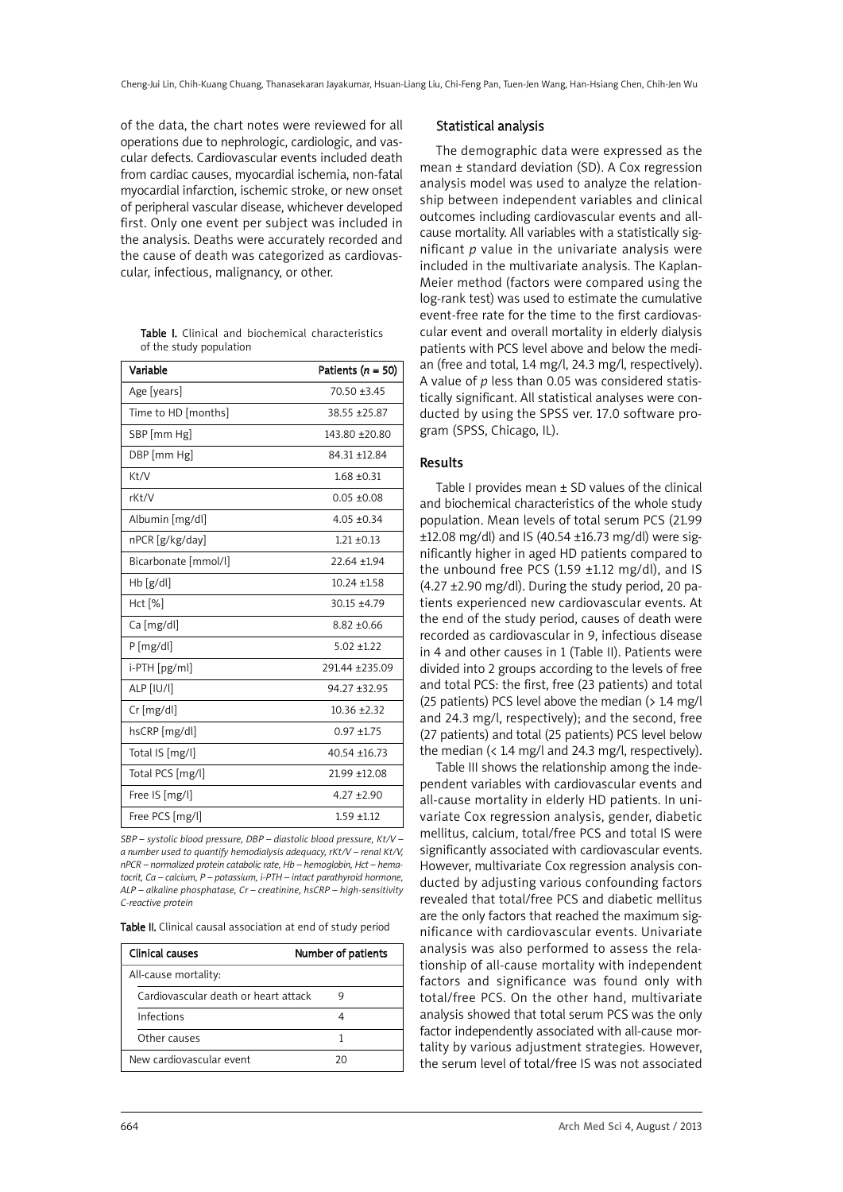of the data, the chart notes were reviewed for all operations due to nephrologic, cardiologic, and vascular defects. Cardiovascular events included death from cardiac causes, myocardial ischemia, non-fatal myocardial infarction, ischemic stroke, or new onset of peripheral vascular disease, whichever developed first. Only one event per subject was included in the analysis. Deaths were accurately recorded and the cause of death was categorized as cardiovascular, infectious, malignancy, or other.

|                         |  | <b>Table I.</b> Clinical and biochemical characteristics |
|-------------------------|--|----------------------------------------------------------|
| of the study population |  |                                                          |

| Variable             | Patients $(n = 50)$ |
|----------------------|---------------------|
| Age [years]          | 70.50 ±3.45         |
| Time to HD [months]  | 38.55 + 25.87       |
| SBP [mm Hg]          | 143.80 ±20.80       |
| DBP [mm Hg]          | 84.31 ±12.84        |
| Kt/V                 | $1.68 \pm 0.31$     |
| rKt/V                | $0.05 + 0.08$       |
| Albumin [mg/dl]      | $4.05 \pm 0.34$     |
| nPCR [g/kg/day]      | $1.21 \pm 0.13$     |
| Bicarbonate [mmol/l] | 22.64 ±1.94         |
| $Hb$ [g/dl]          | $10.24 \pm 1.58$    |
| Hct [%]              | 30.15 ±4.79         |
| Ca [mg/dl]           | $8.82 + 0.66$       |
| $P$ [mg/dl]          | $5.02 + 1.22$       |
| i-PTH [pg/ml]        | 291.44 ±235.09      |
| ALP [IU/l]           | 94.27 ±32.95        |
| Cr [mg/dl]           | $10.36 \pm 2.32$    |
| hsCRP [mg/dl]        | $0.97 + 1.75$       |
| Total IS [mg/l]      | $40.54 + 16.73$     |
| Total PCS [mg/l]     | 21.99 ±12.08        |
| Free IS [mg/l]       | $4.27 + 2.90$       |
| Free PCS [mg/l]      | $1.59 + 1.12$       |

*SBP – systolic blood pressure, DBP – diastolic blood pressure, Kt/V – a number used to quantify hemodialysis adequacy, rKt/V – renal Kt/V, nPCR – normalized protein catabolic rate, Hb – hemoglobin, Hct – hematocrit, Ca – calcium, P – potassium, i-PTH – intact parathyroid hormone, ALP – alkaline phosphatase, Cr – creatinine, hsCRP – high-sensitivity C-reactive protein*

Table II. Clinical causal association at end of study period

| Clinical causes                      | Number of patients |
|--------------------------------------|--------------------|
| All-cause mortality:                 |                    |
| Cardiovascular death or heart attack | g                  |
| Infections                           |                    |
| Other causes                         |                    |
| New cardiovascular event             | חר                 |

## Statistical analysis

The demographic data were expressed as the mean ± standard deviation (SD). A Cox regression analysis model was used to analyze the relationship between independent variables and clinical outcomes including cardiovascular events and allcause mortality. All variables with a statistically significant *p* value in the univariate analysis were included in the multivariate analysis. The Kaplan-Meier method (factors were compared using the log-rank test) was used to estimate the cumulative event-free rate for the time to the first cardiovascular event and overall mortality in elderly dialysis patients with PCS level above and below the median (free and total, 1.4 mg/l, 24.3 mg/l, respectively). A value of *p* less than 0.05 was considered statistically significant. All statistical analyses were conducted by using the SPSS ver. 17.0 software program (SPSS, Chicago, IL).

# Results

Table I provides mean  $\pm$  SD values of the clinical and biochemical characteristics of the whole study population. Mean levels of total serum PCS (21.99 ±12.08 mg/dl) and IS (40.54 ±16.73 mg/dl) were significantly higher in aged HD patients compared to the unbound free PCS (1.59  $\pm$ 1.12 mg/dl), and IS (4.27 ±2.90 mg/dl). During the study period, 20 patients experienced new cardiovascular events. At the end of the study period, causes of death were recorded as cardiovascular in 9, infectious disease in 4 and other causes in 1 (Table II). Patients were divided into 2 groups according to the levels of free and total PCS: the first, free (23 patients) and total (25 patients) PCS level above the median (> 1.4 mg/l) and 24.3 mg/l, respectively); and the second, free (27 patients) and total (25 patients) PCS level below the median (< 1.4 mg/l and 24.3 mg/l, respectively).

Table III shows the relationship among the independent variables with cardiovascular events and all-cause mortality in elderly HD patients. In univariate Cox regression analysis, gender, diabetic mellitus, calcium, total/free PCS and total IS were significantly associated with cardiovascular events. However, multivariate Cox regression analysis conducted by adjusting various confounding factors revealed that total/free PCS and diabetic mellitus are the only factors that reached the maximum significance with cardiovascular events. Univariate analysis was also performed to assess the relationship of all-cause mortality with independent factors and significance was found only with total/free PCS. On the other hand, multivariate analysis showed that total serum PCS was the only factor independently associated with all-cause mortality by various adjustment strategies. However, the serum level of total/free IS was not associated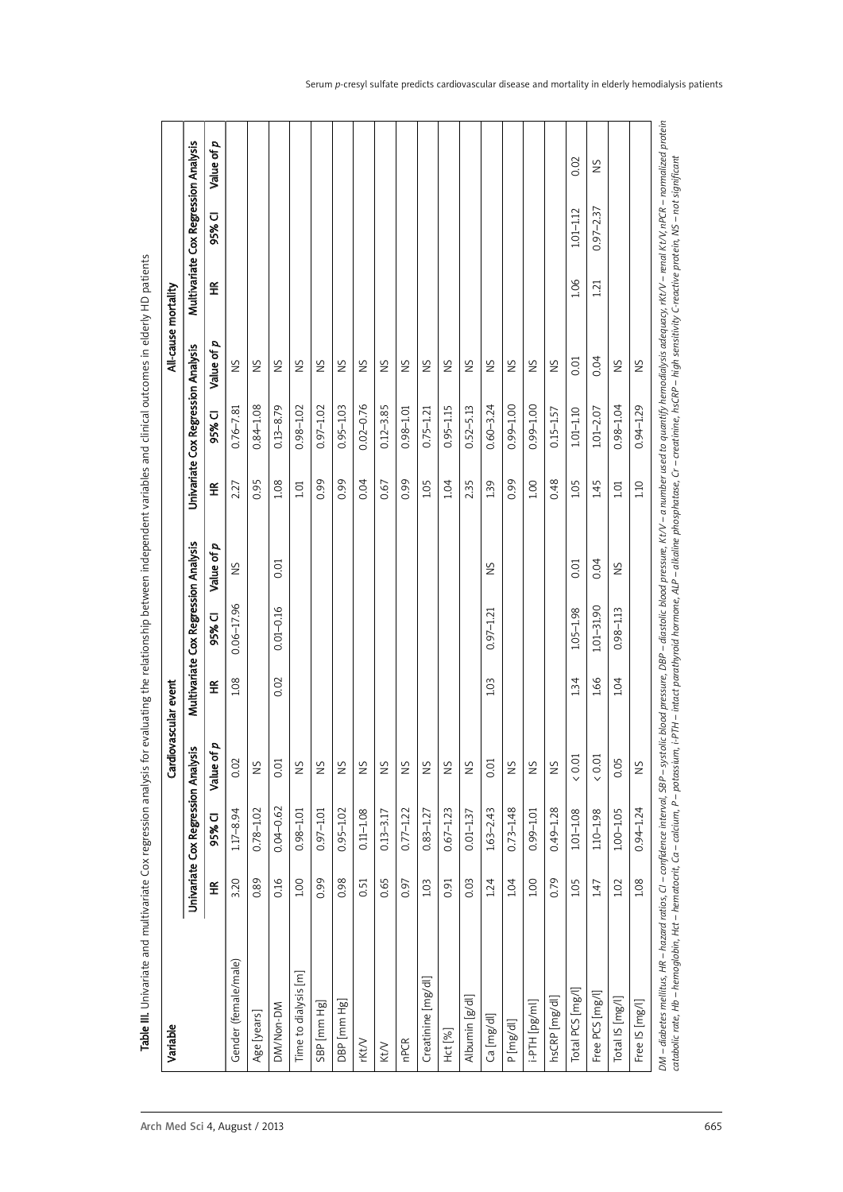| Variable             |                          |                                   | Cardiovascular event |                          |                                      |            |                          |                                    |               | All-cause mortality |                                      |            |
|----------------------|--------------------------|-----------------------------------|----------------------|--------------------------|--------------------------------------|------------|--------------------------|------------------------------------|---------------|---------------------|--------------------------------------|------------|
|                      |                          | Univariate Cox Regression Analysi | s,                   |                          | Multivariate Cox Regression Analysis |            |                          | Univariate Cox Regression Analysis |               |                     | Multivariate Cox Regression Analysis |            |
|                      | $\widetilde{\mathbf{f}}$ | 95% CI                            | p<br>Value of        | $\widetilde{\mathbf{f}}$ | 95% CI                               | Value of p | $\widetilde{\mathbf{f}}$ | 95% CI                             | Value of p    | $\widetilde{\pm}$   | 95% CI                               | Value of p |
| Gender (female/male) | 3.20                     | $1.17 - 8.94$                     | 0.02                 | 1.08                     | $0.06 - 17.96$                       | SN         | 2.27                     | $0.76 - 7.81$                      | SN            |                     |                                      |            |
| Age [years]          | 0.89                     | $0.78 - 1.02$                     | SN                   |                          |                                      |            | 0.95                     | $0.84 - 1.08$                      | SN            |                     |                                      |            |
| DM/Non-DM            | 0.16                     | $0.04 - 0.62$                     | 0.01                 | 0.02                     | $0.01 - 0.16$                        | 0.01       | 1.08                     | $0.13 - 8.79$                      | SN            |                     |                                      |            |
| Time to dialysis [m] | 1.00                     | $0.98 - 1.01$                     | SZ                   |                          |                                      |            | 101                      | $0.98 - 1.02$                      | SZ            |                     |                                      |            |
| SBP [mm Hg]          | 0.99                     | $0.97 - 1.01$                     | SN                   |                          |                                      |            | 0.99                     | $0.97 - 1.02$                      | SN            |                     |                                      |            |
| DBP [mm Hg]          | 0.98                     | $0.95 - 1.02$                     | SN                   |                          |                                      |            | 0.99                     | $0.95 - 1.03$                      | SN            |                     |                                      |            |
| rKt/V                | 0.51                     | $0.11 - 1.08$                     | $\frac{5}{2}$        |                          |                                      |            | 0.04                     | $0.02 - 0.76$                      | $\frac{5}{2}$ |                     |                                      |            |
| KtV                  | 0.65                     | $0.13 - 3.17$                     | SN                   |                          |                                      |            | 0.67                     | $0.12 - 3.85$                      | $\frac{5}{2}$ |                     |                                      |            |
| <b>nPCR</b>          | 0.97                     | $0.77 - 1.22$                     | SN                   |                          |                                      |            | 0.99                     | $0.98 - 1.01$                      | SN            |                     |                                      |            |
| Creatinine [mg/dl]   | 1.03                     | $0.83 - 1.27$                     | SN                   |                          |                                      |            | 1.05                     | $0.75 - 1.21$                      | SN            |                     |                                      |            |
| Hct [%]              | 0.91                     | $0.67 - 1.23$                     | SN                   |                          |                                      |            | 1.04                     | $0.95 - 1.15$                      | SN            |                     |                                      |            |
| Albumin [g/dl]       | 0.03                     | $0.01 - 1.37$                     | $\frac{5}{2}$        |                          |                                      |            | 235                      | $0.52 - 5.13$                      | SN            |                     |                                      |            |
| Ca [mg/dl]           | 1.24                     | $1.63 - 2.43$                     | 0.01                 | 1.03                     | $0.97 - 1.21$                        | SN         | 139                      | $0.60 - 3.24$                      | SN            |                     |                                      |            |
| P [mg/dl]            | 1.04                     | $0.73 - 1.48$                     | SN                   |                          |                                      |            | 0.99                     | 0.99-1.00                          | SN            |                     |                                      |            |
| [lm/3d] H14-!        | 1.00                     | $0.99 - 1.01$                     | SN                   |                          |                                      |            | 1.00                     | 0.99-1.00                          | SN            |                     |                                      |            |
| hsCRP [mg/dl]        | 0.79                     | $0.49 - 1.28$                     | SN                   |                          |                                      |            | 0.48                     | $0.15 - 1.57$                      | SN            |                     |                                      |            |
| Total PCS [mg/l]     | 1.05                     | $1.01 - 1.08$                     | (0.01)               | 134                      | 1.05-1.98                            | 0.01       | 1.05                     | $1.01 - 1.10$                      | 0.01          | 1.06                | $1.01 - 1.12$                        | 0.02       |
| Free PCS [mg/l]      | 1.47                     | $1.10 - 1.98$                     | (0.01)               | 1.66                     | 101-3190                             | 0.04       | 1.45                     | $1.01 - 2.07$                      | 0.04          | 1.21                | $0.97 - 2.37$                        | S          |
| Total IS [mg/l]      | 1.02                     | $1.00 - 1.05$                     | 0.05                 | 1.04                     | $0.98 - 1.13$                        | SN         | 101                      | $0.98 - 1.04$                      | SN            |                     |                                      |            |
| Free IS [mg/l]       | 1.08                     | $0.94 - 1.24$                     | $\frac{5}{2}$        |                          |                                      |            | 110                      | $0.94 - 1.29$                      | ŠN            |                     |                                      |            |

Table III. Univariate and multivariate Cox regression analysis for evaluating the relationship between independent variables and clinical outcomes in elderly HD patients Table III. Univariate and multivariate Cox regression analysis for evaluating the relationship between independent variables and clinical outcomes in elderly HD patients catabolic rate, Hb – hemoglobin, Hct – hematocrit, Ca – calcium, P – potassium, i-PTH – intact parathyroid hormone, ALP – alkaline phosphatase, Cr – creativite, hscRP – high sensitivity C-reactive protein, NS – not signifi catabolic rate, Hb – hemoqlobin, Hct – hematocrit, Ca – calcium, P – potacium, i-PTH – intact parathyroid hormone, ALP – alkaline phosphatase, Cr – creatinine, hsCRP – high sensitivity C-reactive protein, NS – not signific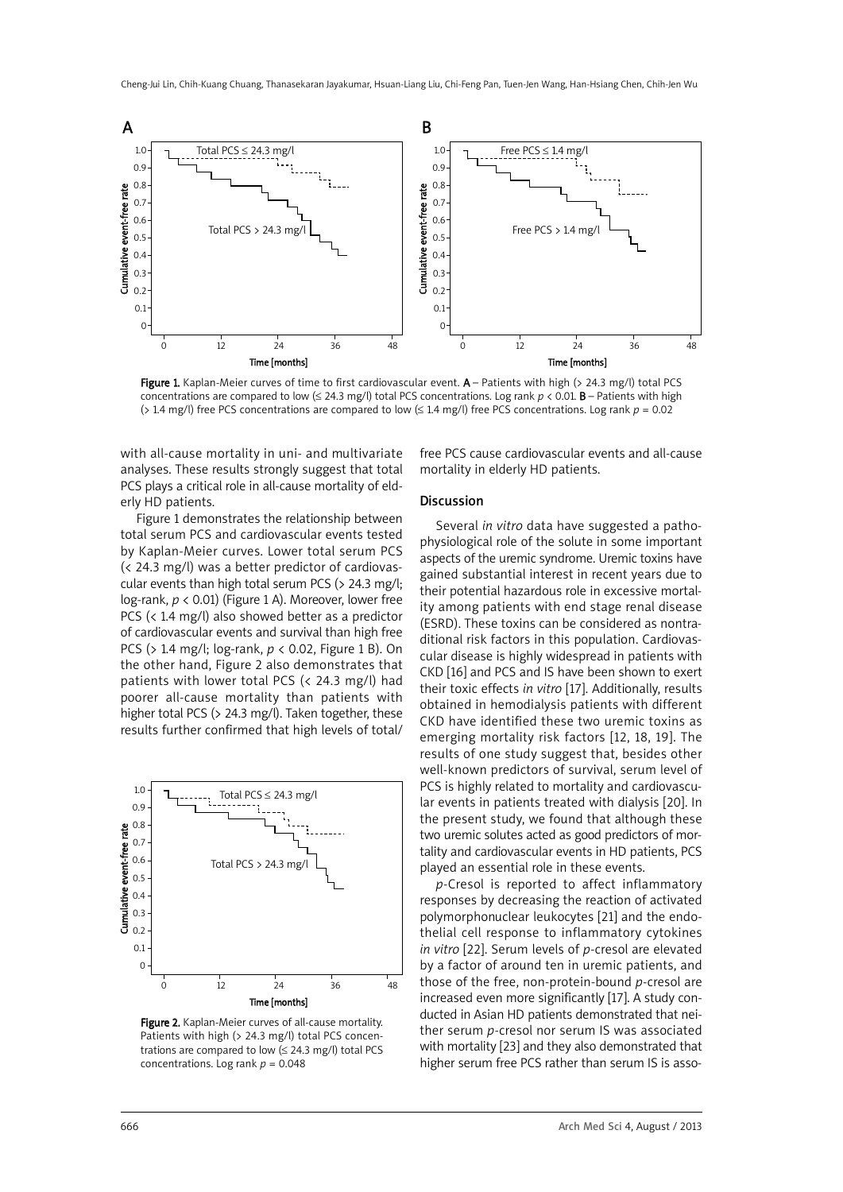

Figure 1. Kaplan-Meier curves of time to first cardiovascular event. A – Patients with high (> 24.3 mg/l) total PCS concentrations are compared to low ( $\leq$  24.3 mg/l) total PCS concentrations. Log rank  $p < 0.01$ . **B** – Patients with high (> 1.4 mg/l) free PCS concentrations are compared to low (≤ 1.4 mg/l) free PCS concentrations. Log rank *p* = 0.02

with all-cause mortality in uni- and multivariate analyses. These results strongly suggest that total PCS plays a critical role in all-cause mortality of elderly HD patients.

Figure 1 demonstrates the relationship between total serum PCS and cardiovascular events tested by Kaplan-Meier curves. Lower total serum PCS (< 24.3 mg/l) was a better predictor of cardiovascular events than high total serum PCS (> 24.3 mg/l; log-rank, *p* < 0.01) (Figure 1 A). Moreover, lower free PCS (< 1.4 mg/l) also showed better as a predictor of cardiovascular events and survival than high free PCS (> 1.4 mg/l; log-rank, *p* < 0.02, Figure 1 B). On the other hand, Figure 2 also demonstrates that patients with lower total PCS (< 24.3 mg/l) had poorer all-cause mortality than patients with higher total PCS (> 24.3 mg/l). Taken together, these results further confirmed that high levels of total/



Figure 2. Kaplan-Meier curves of all-cause mortality. Patients with high (> 24.3 mg/l) total PCS concentrations are compared to low  $( \leq 24.3 \text{ mg/l})$  total PCS concentrations. Log rank *p* = 0.048

free PCS cause cardiovascular events and all-cause mortality in elderly HD patients.

#### Discussion

Several *in vitro* data have suggested a pathophysiological role of the solute in some important aspects of the uremic syndrome. Uremic toxins have gained substantial interest in recent years due to their potential hazardous role in excessive mortality among patients with end stage renal disease (ESRD). These toxins can be considered as nontraditional risk factors in this population. Cardiovascular disease is highly widespread in patients with CKD [16] and PCS and IS have been shown to exert their toxic effects *in vitro* [17]. Additionally, results obtained in hemodialysis patients with different CKD have identified these two uremic toxins as emerging mortality risk factors [12, 18, 19]. The results of one study suggest that, besides other well-known predictors of survival, serum level of PCS is highly related to mortality and cardiovascular events in patients treated with dialysis [20]. In the present study, we found that although these two uremic solutes acted as good predictors of mortality and cardiovascular events in HD patients, PCS played an essential role in these events.

*p*-Cresol is reported to affect inflammatory responses by decreasing the reaction of activated polymorphonuclear leukocytes [21] and the endothelial cell response to inflammatory cytokines *in vitro* [22]. Serum levels of *p-*cresol are elevated by a factor of around ten in uremic patients, and those of the free, non-protein-bound *p*-cresol are increased even more significantly [17]. A study conducted in Asian HD patients demonstrated that neither serum *p*-cresol nor serum IS was associated with mortality [23] and they also demonstrated that higher serum free PCS rather than serum IS is asso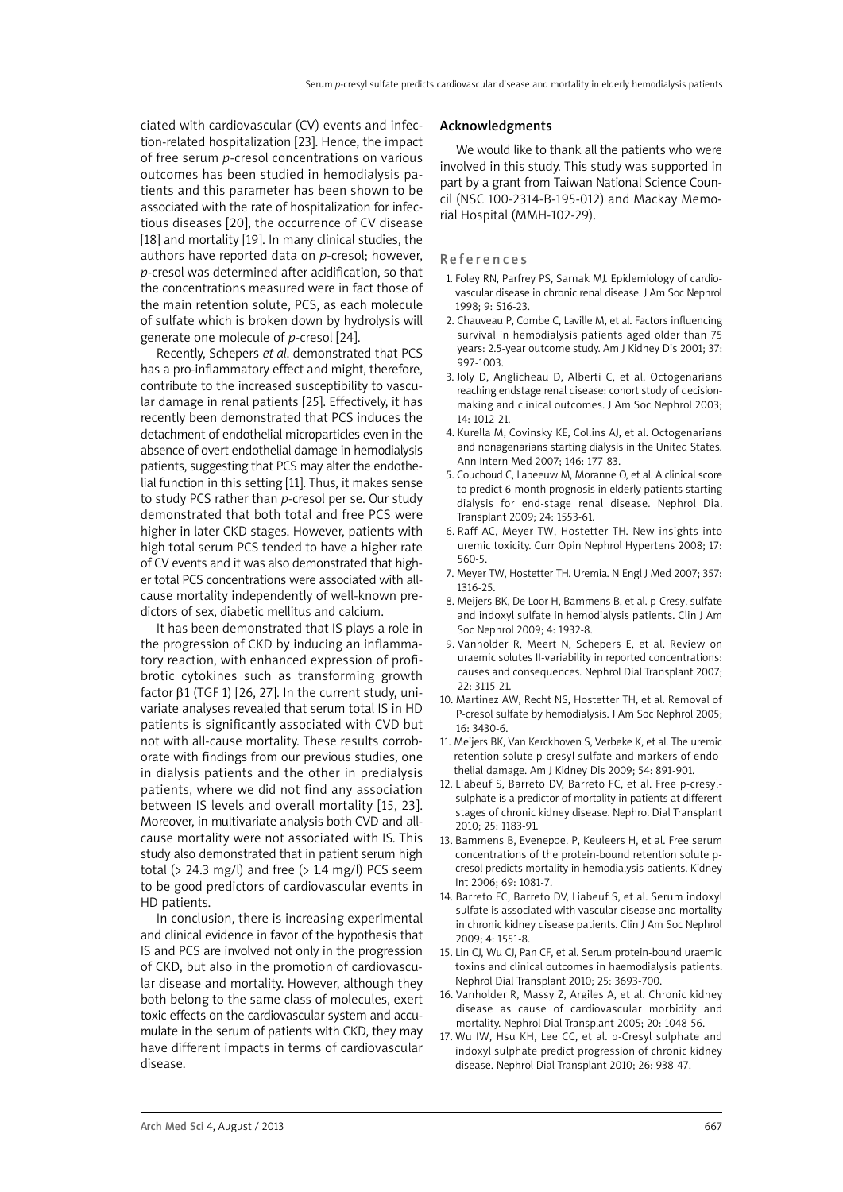ciated with cardiovascular (CV) events and infection-related hospitalization [23]. Hence, the impact of free serum *p*-cresol concentrations on various outcomes has been studied in hemodialysis patients and this parameter has been shown to be associated with the rate of hospitalization for infectious diseases [20], the occurrence of CV disease [18] and mortality [19]. In many clinical studies, the authors have reported data on *p*-cresol; however, *p*-cresol was determined after acidification, so that the concentrations measured were in fact those of the main retention solute, PCS, as each molecule of sulfate which is broken down by hydrolysis will generate one molecule of *p-*cresol [24].

Recently, Schepers *et al*. demonstrated that PCS has a pro-inflammatory effect and might, therefore, contribute to the increased susceptibility to vascular damage in renal patients [25]. Effectively, it has recently been demonstrated that PCS induces the detachment of endothelial microparticles even in the absence of overt endothelial damage in hemodialysis patients, suggesting that PCS may alter the endothelial function in this setting [11]. Thus, it makes sense to study PCS rather than *p-*cresol per se. Our study demonstrated that both total and free PCS were higher in later CKD stages. However, patients with high total serum PCS tended to have a higher rate of CV events and it was also demonstrated that higher total PCS concentrations were associated with allcause mortality independently of well-known predictors of sex, diabetic mellitus and calcium.

It has been demonstrated that IS plays a role in the progression of CKD by inducing an inflammatory reaction, with enhanced expression of profibrotic cytokines such as transforming growth factor  $β1$  (TGF 1) [26, 27]. In the current study, univariate analyses revealed that serum total IS in HD patients is significantly associated with CVD but not with all-cause mortality. These results corroborate with findings from our previous studies, one in dialysis patients and the other in predialysis patients, where we did not find any association between IS levels and overall mortality [15, 23]. Moreover, in multivariate analysis both CVD and allcause mortality were not associated with IS. This study also demonstrated that in patient serum high total ( $> 24.3$  mg/l) and free ( $> 1.4$  mg/l) PCS seem to be good predictors of cardiovascular events in HD patients.

In conclusion, there is increasing experimental and clinical evidence in favor of the hypothesis that IS and PCS are involved not only in the progression of CKD, but also in the promotion of cardiovascular disease and mortality. However, although they both belong to the same class of molecules, exert toxic effects on the cardiovascular system and accumulate in the serum of patients with CKD, they may have different impacts in terms of cardiovascular disease.

#### Acknowledgments

We would like to thank all the patients who were involved in this study. This study was supported in part by a grant from Taiwan National Science Council (NSC 100-2314-B-195-012) and Mackay Memorial Hospital (MMH-102-29).

#### **References**

- 1. Foley RN, Parfrey PS, Sarnak MJ. Epidemiology of cardiovascular disease in chronic renal disease. J Am Soc Nephrol 1998; 9: S16-23.
- 2. Chauveau P, Combe C, Laville M, et al. Factors influencing survival in hemodialysis patients aged older than 75 years: 2.5-year outcome study. Am J Kidney Dis 2001; 37: 997-1003.
- 3. Joly D, Anglicheau D, Alberti C, et al. Octogenarians reaching endstage renal disease: cohort study of decisionmaking and clinical outcomes. J Am Soc Nephrol 2003; 14: 1012-21.
- 4. Kurella M, Covinsky KE, Collins AJ, et al. Octogenarians and nonagenarians starting dialysis in the United States. Ann Intern Med 2007; 146: 177-83.
- 5. Couchoud C, Labeeuw M, Moranne O, et al. A clinical score to predict 6-month prognosis in elderly patients starting dialysis for end-stage renal disease. Nephrol Dial Transplant 2009; 24: 1553-61.
- 6. Raff AC, Meyer TW, Hostetter TH. New insights into uremic toxicity. Curr Opin Nephrol Hypertens 2008; 17: 560-5.
- 7. Meyer TW, Hostetter TH. Uremia. N Engl J Med 2007; 357: 1316-25.
- 8. Meijers BK, De Loor H, Bammens B, et al. p-Cresyl sulfate and indoxyl sulfate in hemodialysis patients. Clin J Am Soc Nephrol 2009; 4: 1932-8.
- 9. Vanholder R, Meert N, Schepers E, et al. Review on uraemic solutes II-variability in reported concentrations: causes and consequences. Nephrol Dial Transplant 2007; 22: 3115-21.
- 10. Martinez AW, Recht NS, Hostetter TH, et al. Removal of P-cresol sulfate by hemodialysis. J Am Soc Nephrol 2005; 16: 3430-6.
- 11. Meijers BK, Van Kerckhoven S, Verbeke K, et al. The uremic retention solute p-cresyl sulfate and markers of endothelial damage. Am J Kidney Dis 2009; 54: 891-901.
- 12. Liabeuf S, Barreto DV, Barreto FC, et al. Free p-cresylsulphate is a predictor of mortality in patients at different stages of chronic kidney disease. Nephrol Dial Transplant 2010; 25: 1183-91.
- 13. Bammens B, Evenepoel P, Keuleers H, et al. Free serum concentrations of the protein-bound retention solute pcresol predicts mortality in hemodialysis patients. Kidney Int 2006; 69: 1081-7.
- 14. Barreto FC, Barreto DV, Liabeuf S, et al. Serum indoxyl sulfate is associated with vascular disease and mortality in chronic kidney disease patients. Clin J Am Soc Nephrol 2009; 4: 1551-8.
- 15. Lin CJ, Wu CJ, Pan CF, et al. Serum protein-bound uraemic toxins and clinical outcomes in haemodialysis patients. Nephrol Dial Transplant 2010; 25: 3693-700.
- 16. Vanholder R, Massy Z, Argiles A, et al. Chronic kidney disease as cause of cardiovascular morbidity and mortality. Nephrol Dial Transplant 2005; 20: 1048-56.
- 17. Wu IW, Hsu KH, Lee CC, et al. p-Cresyl sulphate and indoxyl sulphate predict progression of chronic kidney disease. Nephrol Dial Transplant 2010; 26: 938-47.